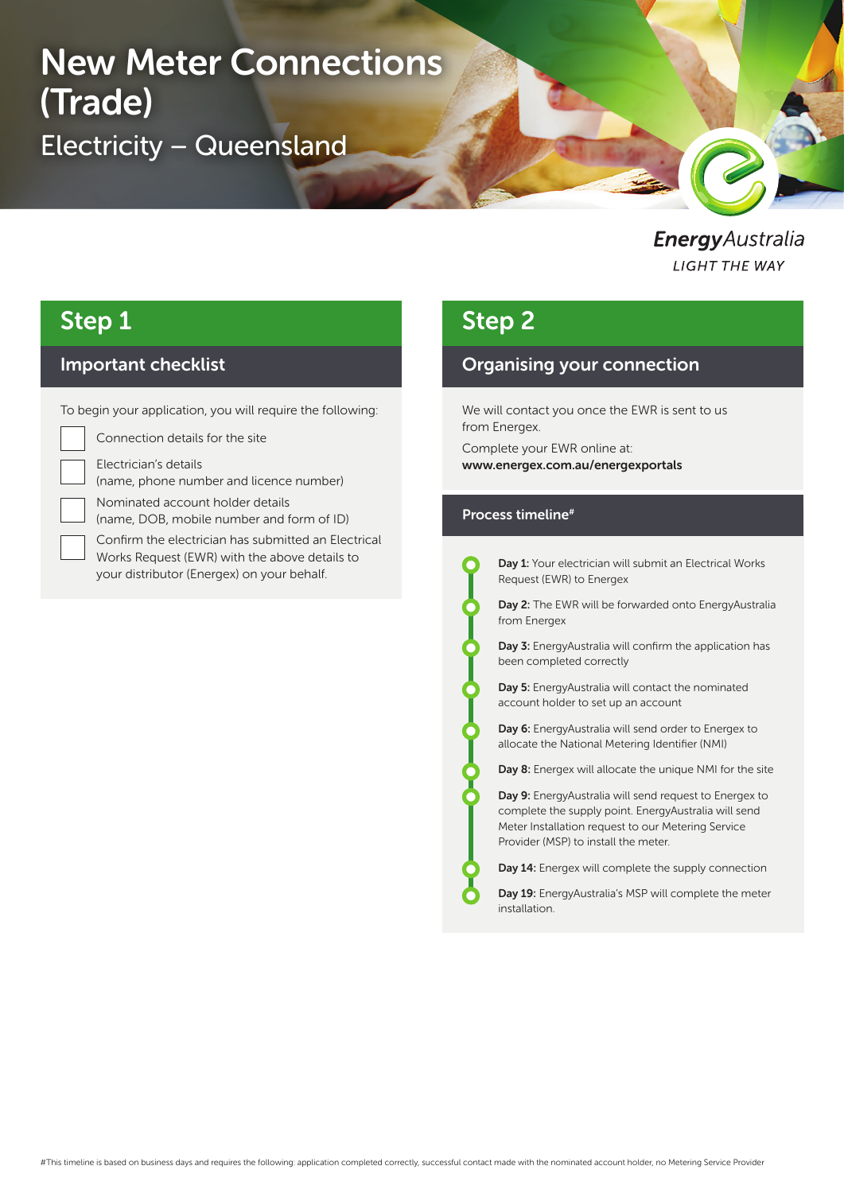# New Meter Connections New Meter Connections (Trade)(Trade) Electricity – Queensland Electricity – Queensland

### EnergyAustralia **LIGHT THE WAY**

R

# Step 1

### Important checklist

To begin your application, you will require the following:

Connection details for the site

Electrician's details

(name, phone number and licence number)

Nominated account holder details

(name, DOB, mobile number and form of ID)

Confirm the electrician has submitted an Electrical Works Request (EWR) with the above details to your distributor (Energex) on your behalf.

# Step 2

### Organising your connection

We will contact you once the EWR is sent to us from Energex.

Complete your EWR online at: www.energex.com.au/energexportals

#### Process timeline#

Day 1: Your electrician will submit an Electrical Works Request (EWR) to Energex

Day 2: The EWR will be forwarded onto EnergyAustralia from Energex

Day 3: EnergyAustralia will confirm the application has been completed correctly

Day 5: EnergyAustralia will contact the nominated account holder to set up an account

Day 6: EnergyAustralia will send order to Energex to allocate the National Metering Identifier (NMI)

Day 8: Energex will allocate the unique NMI for the site

Day 9: EnergyAustralia will send request to Energex to complete the supply point. EnergyAustralia will send Meter Installation request to our Metering Service Provider (MSP) to install the meter.

Day 14: Energex will complete the supply connection

Day 19: EnergyAustralia's MSP will complete the meter installation.